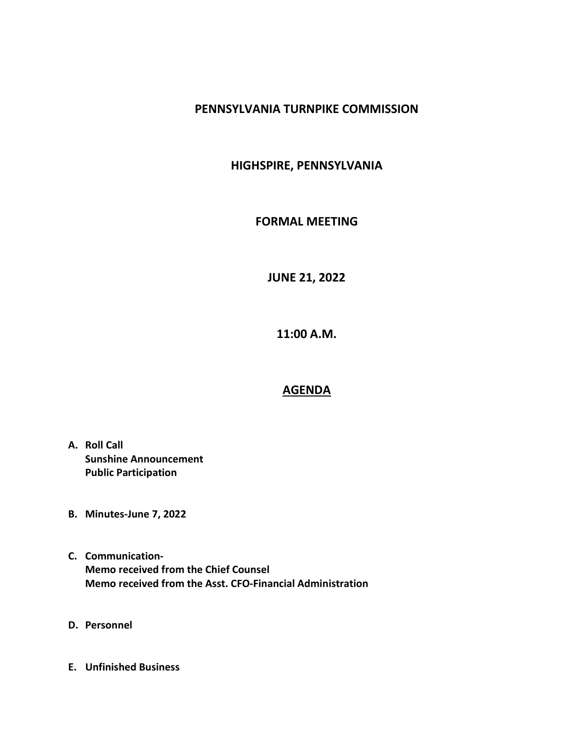#### PENNSYLVANIA TURNPIKE COMMISSION

### HIGHSPIRE, PENNSYLVANIA

#### FORMAL MEETING

# JUNE 21, 2022

11:00 A.M.

## AGENDA

- A. Roll Call Sunshine Announcement Public Participation
- B. Minutes-June 7, 2022
- C. Communication-Memo received from the Chief Counsel Memo received from the Asst. CFO-Financial Administration
- D. Personnel
- E. Unfinished Business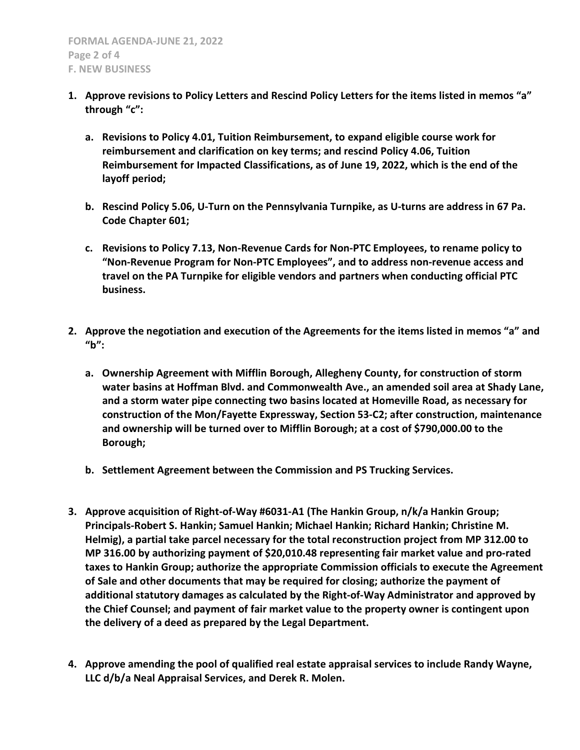- 1. Approve revisions to Policy Letters and Rescind Policy Letters for the items listed in memos "a" through "c":
	- a. Revisions to Policy 4.01, Tuition Reimbursement, to expand eligible course work for reimbursement and clarification on key terms; and rescind Policy 4.06, Tuition Reimbursement for Impacted Classifications, as of June 19, 2022, which is the end of the layoff period;
	- b. Rescind Policy 5.06, U-Turn on the Pennsylvania Turnpike, as U-turns are address in 67 Pa. Code Chapter 601;
	- c. Revisions to Policy 7.13, Non-Revenue Cards for Non-PTC Employees, to rename policy to "Non-Revenue Program for Non-PTC Employees", and to address non-revenue access and travel on the PA Turnpike for eligible vendors and partners when conducting official PTC business.
- 2. Approve the negotiation and execution of the Agreements for the items listed in memos "a" and "b":
	- a. Ownership Agreement with Mifflin Borough, Allegheny County, for construction of storm water basins at Hoffman Blvd. and Commonwealth Ave., an amended soil area at Shady Lane, and a storm water pipe connecting two basins located at Homeville Road, as necessary for construction of the Mon/Fayette Expressway, Section 53-C2; after construction, maintenance and ownership will be turned over to Mifflin Borough; at a cost of \$790,000.00 to the Borough;
	- b. Settlement Agreement between the Commission and PS Trucking Services.
- 3. Approve acquisition of Right-of-Way #6031-A1 (The Hankin Group, n/k/a Hankin Group; Principals-Robert S. Hankin; Samuel Hankin; Michael Hankin; Richard Hankin; Christine M. Helmig), a partial take parcel necessary for the total reconstruction project from MP 312.00 to MP 316.00 by authorizing payment of \$20,010.48 representing fair market value and pro-rated taxes to Hankin Group; authorize the appropriate Commission officials to execute the Agreement of Sale and other documents that may be required for closing; authorize the payment of additional statutory damages as calculated by the Right-of-Way Administrator and approved by the Chief Counsel; and payment of fair market value to the property owner is contingent upon the delivery of a deed as prepared by the Legal Department.
- 4. Approve amending the pool of qualified real estate appraisal services to include Randy Wayne, LLC d/b/a Neal Appraisal Services, and Derek R. Molen.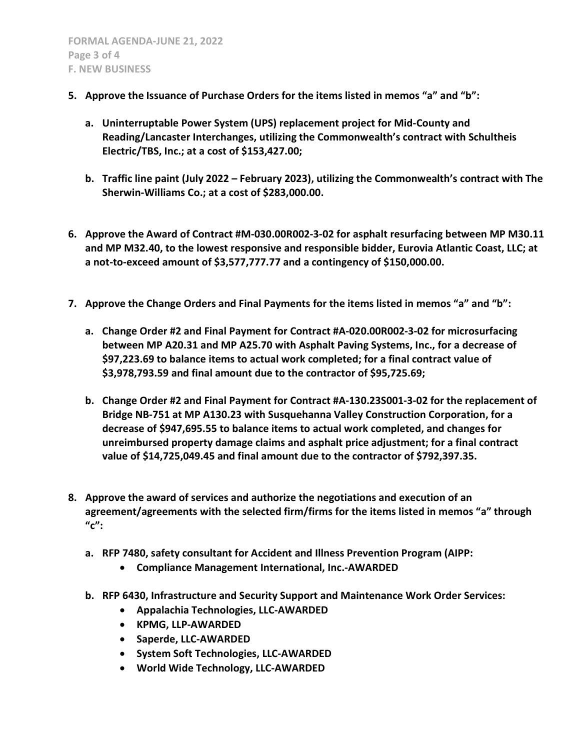- 5. Approve the Issuance of Purchase Orders for the items listed in memos "a" and "b":
	- a. Uninterruptable Power System (UPS) replacement project for Mid-County and Reading/Lancaster Interchanges, utilizing the Commonwealth's contract with Schultheis Electric/TBS, Inc.; at a cost of \$153,427.00;
	- b. Traffic line paint (July 2022 February 2023), utilizing the Commonwealth's contract with The Sherwin-Williams Co.; at a cost of \$283,000.00.
- 6. Approve the Award of Contract #M-030.00R002-3-02 for asphalt resurfacing between MP M30.11 and MP M32.40, to the lowest responsive and responsible bidder, Eurovia Atlantic Coast, LLC; at a not-to-exceed amount of \$3,577,777.77 and a contingency of \$150,000.00.
- 7. Approve the Change Orders and Final Payments for the items listed in memos "a" and "b":
	- a. Change Order #2 and Final Payment for Contract #A-020.00R002-3-02 for microsurfacing between MP A20.31 and MP A25.70 with Asphalt Paving Systems, Inc., for a decrease of \$97,223.69 to balance items to actual work completed; for a final contract value of \$3,978,793.59 and final amount due to the contractor of \$95,725.69;
	- b. Change Order #2 and Final Payment for Contract #A-130.23S001-3-02 for the replacement of Bridge NB-751 at MP A130.23 with Susquehanna Valley Construction Corporation, for a decrease of \$947,695.55 to balance items to actual work completed, and changes for unreimbursed property damage claims and asphalt price adjustment; for a final contract value of \$14,725,049.45 and final amount due to the contractor of \$792,397.35.
- 8. Approve the award of services and authorize the negotiations and execution of an agreement/agreements with the selected firm/firms for the items listed in memos "a" through  $^{\prime\prime}$ c":
	- a. RFP 7480, safety consultant for Accident and Illness Prevention Program (AIPP:
		- Compliance Management International, Inc.-AWARDED
	- b. RFP 6430, Infrastructure and Security Support and Maintenance Work Order Services:
		- Appalachia Technologies, LLC-AWARDED
		- KPMG, LLP-AWARDED
		- Saperde, LLC-AWARDED
		- System Soft Technologies, LLC-AWARDED
		- World Wide Technology, LLC-AWARDED